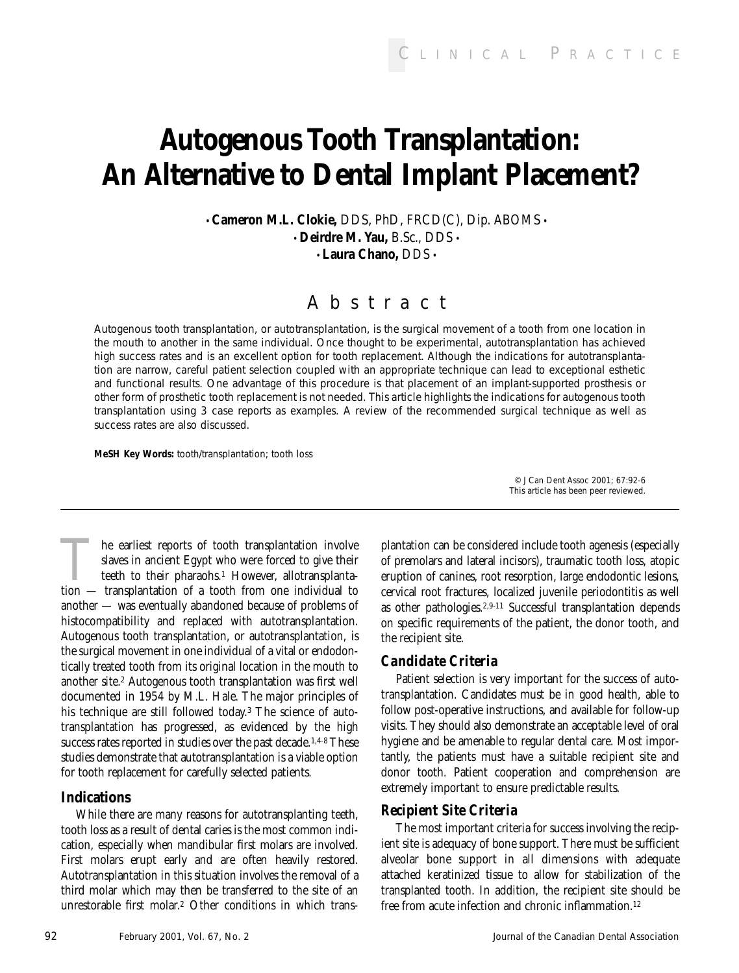# **Autogenous Tooth Transplantation: An Alternative to Dental Implant Placement?**

• **Cameron M.L. Clokie,** DDS, PhD, FRCD(C), Dip. ABOMS • • **Deirdre M. Yau,** B.Sc., DDS • • **Laura Chano,** DDS •

# Abstract

*Autogenous tooth transplantation, or autotransplantation, is the surgical movement of a tooth from one location in the mouth to another in the same individual. Once thought to be experimental, autotransplantation has achieved high success rates and is an excellent option for tooth replacement. Although the indications for autotransplantation are narrow, careful patient selection coupled with an appropriate technique can lead to exceptional esthetic and functional results. One advantage of this procedure is that placement of an implant-supported prosthesis or other form of prosthetic tooth replacement is not needed. This article highlights the indications for autogenous tooth transplantation using 3 case reports as examples. A review of the recommended surgical technique as well as success rates are also discussed.*

*MeSH Key Words: tooth/transplantation; tooth loss*

The earliest reports of tooth transplantation involve<br>slaves in ancient Egypt who were forced to give their<br>teeth to their pharaohs.<sup>1</sup> However, allotransplanta-<br>tion — transplantation of a tooth from one individual to slaves in ancient Egypt who were forced to give their teeth to their pharaohs.1 However, allotransplantation — transplantation of a tooth from one individual to another — was eventually abandoned because of problems of histocompatibility and replaced with autotransplantation. Autogenous tooth transplantation, or autotransplantation, is the surgical movement in one individual of a vital or endodontically treated tooth from its original location in the mouth to another site.2 Autogenous tooth transplantation was first well documented in 1954 by M.L. Hale. The major principles of his technique are still followed today.3 The science of autotransplantation has progressed, as evidenced by the high success rates reported in studies over the past decade.<sup>1,4-8</sup> These studies demonstrate that autotransplantation is a viable option for tooth replacement for carefully selected patients.

# **Indications**

While there are many reasons for autotransplanting teeth, tooth loss as a result of dental caries is the most common indication, especially when mandibular first molars are involved. First molars erupt early and are often heavily restored. Autotransplantation in this situation involves the removal of a third molar which may then be transferred to the site of an unrestorable first molar.2 Other conditions in which trans-

plantation can be considered include tooth agenesis (especially of premolars and lateral incisors), traumatic tooth loss, atopic eruption of canines, root resorption, large endodontic lesions, cervical root fractures, localized juvenile periodontitis as well as other pathologies.2,9-11 Successful transplantation depends on specific requirements of the patient, the donor tooth, and the recipient site.

*© J Can Dent Assoc 2001; 67:92-6 This article has been peer reviewed.* 

# *Candidate Criteria*

Patient selection is very important for the success of autotransplantation. Candidates must be in good health, able to follow post-operative instructions, and available for follow-up visits. They should also demonstrate an acceptable level of oral hygiene and be amenable to regular dental care. Most importantly, the patients must have a suitable recipient site and donor tooth. Patient cooperation and comprehension are extremely important to ensure predictable results.

# *Recipient Site Criteria*

The most important criteria for success involving the recipient site is adequacy of bone support. There must be sufficient alveolar bone support in all dimensions with adequate attached keratinized tissue to allow for stabilization of the transplanted tooth. In addition, the recipient site should be free from acute infection and chronic inflammation.<sup>12</sup>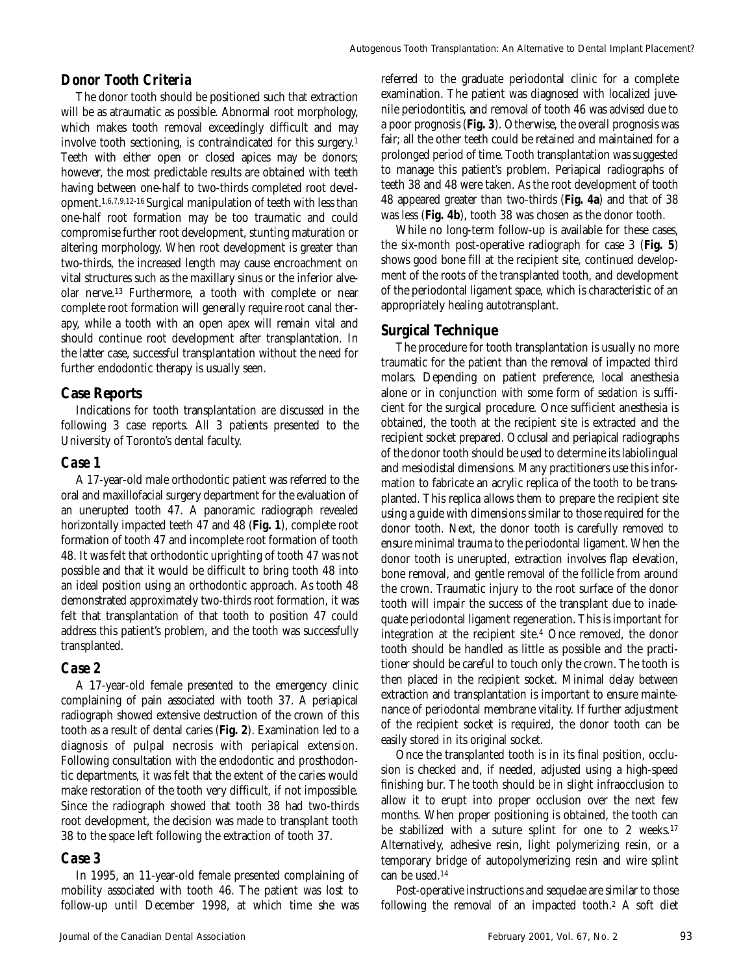#### *Donor Tooth Criteria*

The donor tooth should be positioned such that extraction will be as atraumatic as possible. Abnormal root morphology, which makes tooth removal exceedingly difficult and may involve tooth sectioning, is contraindicated for this surgery.1 Teeth with either open or closed apices may be donors; however, the most predictable results are obtained with teeth having between one-half to two-thirds completed root development.1,6,7,9,12-16 Surgical manipulation of teeth with less than one-half root formation may be too traumatic and could compromise further root development, stunting maturation or altering morphology. When root development is greater than two-thirds, the increased length may cause encroachment on vital structures such as the maxillary sinus or the inferior alveolar nerve.13 Furthermore, a tooth with complete or near complete root formation will generally require root canal therapy, while a tooth with an open apex will remain vital and should continue root development after transplantation. In the latter case, successful transplantation without the need for further endodontic therapy is usually seen.

#### **Case Reports**

Indications for tooth transplantation are discussed in the following 3 case reports. All 3 patients presented to the University of Toronto's dental faculty.

#### *Case 1*

A 17-year-old male orthodontic patient was referred to the oral and maxillofacial surgery department for the evaluation of an unerupted tooth 47. A panoramic radiograph revealed horizontally impacted teeth 47 and 48 (**Fig. 1**), complete root formation of tooth 47 and incomplete root formation of tooth 48. It was felt that orthodontic uprighting of tooth 47 was not possible and that it would be difficult to bring tooth 48 into an ideal position using an orthodontic approach. As tooth 48 demonstrated approximately two-thirds root formation, it was felt that transplantation of that tooth to position 47 could address this patient's problem, and the tooth was successfully transplanted.

#### *Case 2*

A 17-year-old female presented to the emergency clinic complaining of pain associated with tooth 37. A periapical radiograph showed extensive destruction of the crown of this tooth as a result of dental caries (**Fig. 2**). Examination led to a diagnosis of pulpal necrosis with periapical extension. Following consultation with the endodontic and prosthodontic departments, it was felt that the extent of the caries would make restoration of the tooth very difficult, if not impossible. Since the radiograph showed that tooth 38 had two-thirds root development, the decision was made to transplant tooth 38 to the space left following the extraction of tooth 37.

#### *Case 3*

In 1995, an 11-year-old female presented complaining of mobility associated with tooth 46. The patient was lost to follow-up until December 1998, at which time she was referred to the graduate periodontal clinic for a complete examination. The patient was diagnosed with localized juvenile periodontitis, and removal of tooth 46 was advised due to a poor prognosis (**Fig. 3**). Otherwise, the overall prognosis was fair; all the other teeth could be retained and maintained for a prolonged period of time. Tooth transplantation was suggested to manage this patient's problem. Periapical radiographs of teeth 38 and 48 were taken. As the root development of tooth 48 appeared greater than two-thirds (**Fig. 4a**) and that of 38 was less (**Fig. 4b**), tooth 38 was chosen as the donor tooth.

While no long-term follow-up is available for these cases, the six-month post-operative radiograph for case 3 (**Fig. 5**) shows good bone fill at the recipient site, continued development of the roots of the transplanted tooth, and development of the periodontal ligament space, which is characteristic of an appropriately healing autotransplant.

#### **Surgical Technique**

The procedure for tooth transplantation is usually no more traumatic for the patient than the removal of impacted third molars. Depending on patient preference, local anesthesia alone or in conjunction with some form of sedation is sufficient for the surgical procedure. Once sufficient anesthesia is obtained, the tooth at the recipient site is extracted and the recipient socket prepared. Occlusal and periapical radiographs of the donor tooth should be used to determine its labiolingual and mesiodistal dimensions. Many practitioners use this information to fabricate an acrylic replica of the tooth to be transplanted. This replica allows them to prepare the recipient site using a guide with dimensions similar to those required for the donor tooth. Next, the donor tooth is carefully removed to ensure minimal trauma to the periodontal ligament. When the donor tooth is unerupted, extraction involves flap elevation, bone removal, and gentle removal of the follicle from around the crown. Traumatic injury to the root surface of the donor tooth will impair the success of the transplant due to inadequate periodontal ligament regeneration. This is important for integration at the recipient site.4 Once removed, the donor tooth should be handled as little as possible and the practitioner should be careful to touch only the crown. The tooth is then placed in the recipient socket. Minimal delay between extraction and transplantation is important to ensure maintenance of periodontal membrane vitality. If further adjustment of the recipient socket is required, the donor tooth can be easily stored in its original socket.

Once the transplanted tooth is in its final position, occlusion is checked and, if needed, adjusted using a high-speed finishing bur. The tooth should be in slight infraocclusion to allow it to erupt into proper occlusion over the next few months. When proper positioning is obtained, the tooth can be stabilized with a suture splint for one to 2 weeks.<sup>17</sup> Alternatively, adhesive resin, light polymerizing resin, or a temporary bridge of autopolymerizing resin and wire splint can be used.14

Post-operative instructions and sequelae are similar to those following the removal of an impacted tooth.2 A soft diet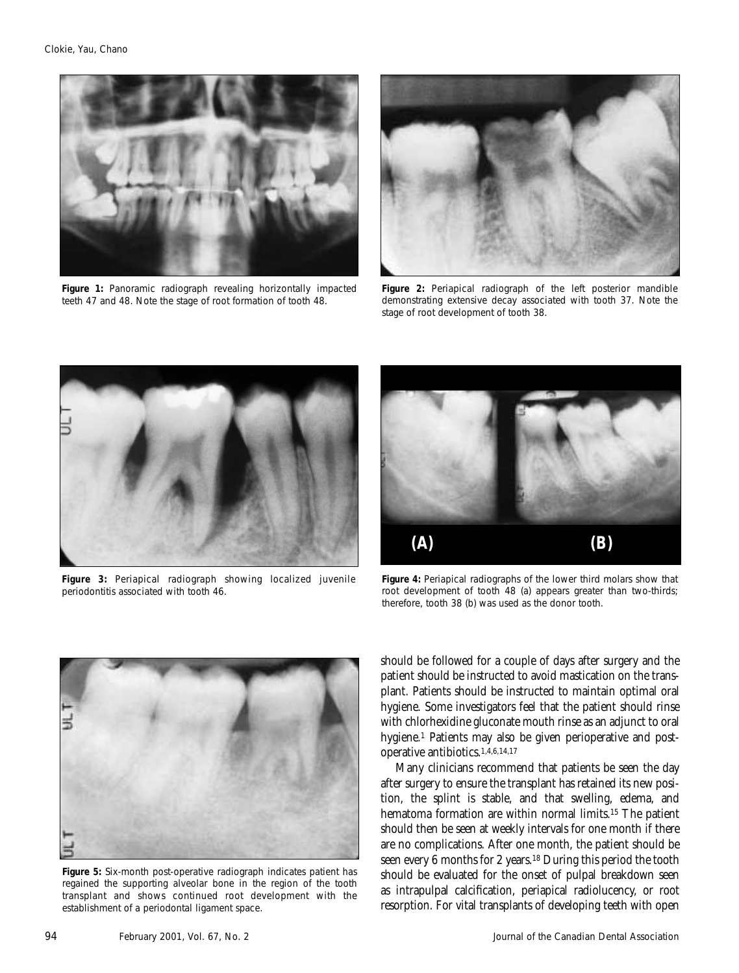

*Figure 1: Panoramic radiograph revealing horizontally impacted teeth 47 and 48. Note the stage of root formation of tooth 48.*



*Figure 2: Periapical radiograph of the left posterior mandible demonstrating extensive decay associated with tooth 37. Note the stage of root development of tooth 38.*



*Figure 3: Periapical radiograph showing localized juvenile periodontitis associated with tooth 46.*



*Figure 4: Periapical radiographs of the lower third molars show that root development of tooth 48 (a) appears greater than two-thirds; therefore, tooth 38 (b) was used as the donor tooth.*



*Figure 5: Six-month post-operative radiograph indicates patient has regained the supporting alveolar bone in the region of the tooth transplant and shows continued root development with the establishment of a periodontal ligament space.*

should be followed for a couple of days after surgery and the patient should be instructed to avoid mastication on the transplant. Patients should be instructed to maintain optimal oral hygiene. Some investigators feel that the patient should rinse with chlorhexidine gluconate mouth rinse as an adjunct to oral hygiene.<sup>1</sup> Patients may also be given perioperative and postoperative antibiotics.1,4,6,14,17

Many clinicians recommend that patients be seen the day after surgery to ensure the transplant has retained its new position, the splint is stable, and that swelling, edema, and hematoma formation are within normal limits.15 The patient should then be seen at weekly intervals for one month if there are no complications. After one month, the patient should be seen every 6 months for 2 years.18 During this period the tooth should be evaluated for the onset of pulpal breakdown seen as intrapulpal calcification, periapical radiolucency, or root resorption. For vital transplants of developing teeth with open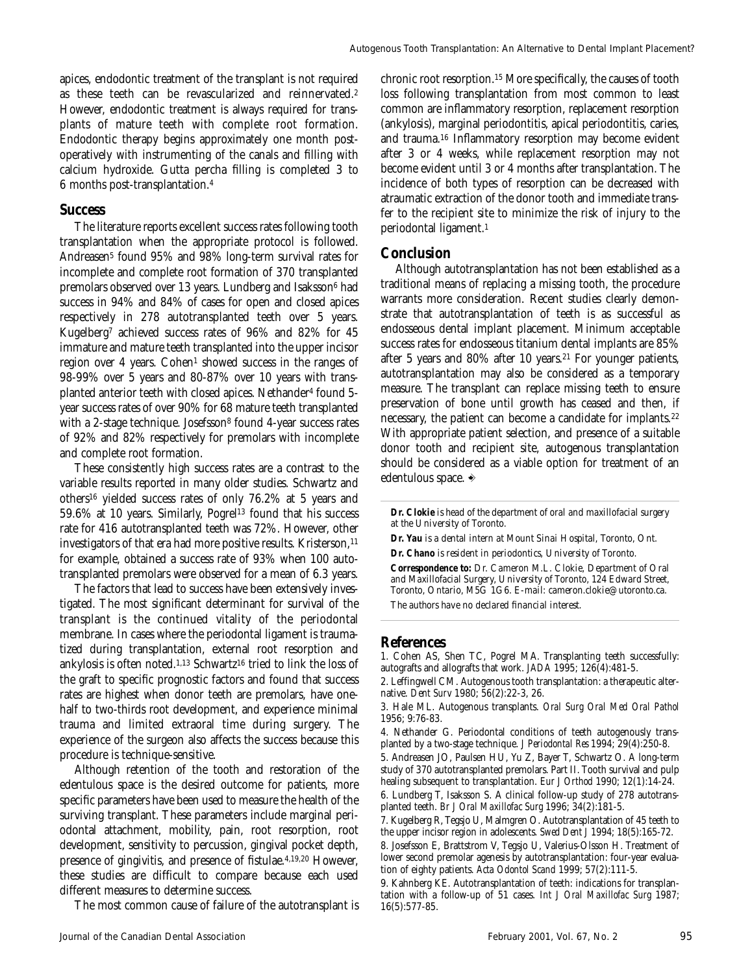apices, endodontic treatment of the transplant is not required as these teeth can be revascularized and reinnervated.2 However, endodontic treatment is always required for transplants of mature teeth with complete root formation. Endodontic therapy begins approximately one month postoperatively with instrumenting of the canals and filling with calcium hydroxide. Gutta percha filling is completed 3 to 6 months post-transplantation.4

#### **Success**

The literature reports excellent success rates following tooth transplantation when the appropriate protocol is followed. Andreasen<sup>5</sup> found 95% and 98% long-term survival rates for incomplete and complete root formation of 370 transplanted premolars observed over 13 years. Lundberg and Isaksson6 had success in 94% and 84% of cases for open and closed apices respectively in 278 autotransplanted teeth over 5 years. Kugelberg7 achieved success rates of 96% and 82% for 45 immature and mature teeth transplanted into the upper incisor region over 4 years. Cohen<sup>1</sup> showed success in the ranges of 98-99% over 5 years and 80-87% over 10 years with transplanted anterior teeth with closed apices. Nethander4 found 5 year success rates of over 90% for 68 mature teeth transplanted with a 2-stage technique. Josefsson<sup>8</sup> found 4-year success rates of 92% and 82% respectively for premolars with incomplete and complete root formation.

These consistently high success rates are a contrast to the variable results reported in many older studies. Schwartz and others16 yielded success rates of only 76.2% at 5 years and 59.6% at 10 years. Similarly, Pogrel<sup>13</sup> found that his success rate for 416 autotransplanted teeth was 72%. However, other investigators of that era had more positive results. Kristerson,  $11$ for example, obtained a success rate of 93% when 100 autotransplanted premolars were observed for a mean of 6.3 years.

The factors that lead to success have been extensively investigated. The most significant determinant for survival of the transplant is the continued vitality of the periodontal membrane. In cases where the periodontal ligament is traumatized during transplantation, external root resorption and ankylosis is often noted.<sup>1,13</sup> Schwartz<sup>16</sup> tried to link the loss of the graft to specific prognostic factors and found that success rates are highest when donor teeth are premolars, have onehalf to two-thirds root development, and experience minimal trauma and limited extraoral time during surgery. The experience of the surgeon also affects the success because this procedure is technique-sensitive.

Although retention of the tooth and restoration of the edentulous space is the desired outcome for patients, more specific parameters have been used to measure the health of the surviving transplant. These parameters include marginal periodontal attachment, mobility, pain, root resorption, root development, sensitivity to percussion, gingival pocket depth, presence of gingivitis, and presence of fistulae.4,19,20 However, these studies are difficult to compare because each used different measures to determine success.

The most common cause of failure of the autotransplant is

chronic root resorption.15 More specifically, the causes of tooth loss following transplantation from most common to least common are inflammatory resorption, replacement resorption (ankylosis), marginal periodontitis, apical periodontitis, caries, and trauma.16 Inflammatory resorption may become evident after 3 or 4 weeks, while replacement resorption may not become evident until 3 or 4 months after transplantation. The incidence of both types of resorption can be decreased with atraumatic extraction of the donor tooth and immediate transfer to the recipient site to minimize the risk of injury to the periodontal ligament.1

#### **Conclusion**

Although autotransplantation has not been established as a traditional means of replacing a missing tooth, the procedure warrants more consideration. Recent studies clearly demonstrate that autotransplantation of teeth is as successful as endosseous dental implant placement. Minimum acceptable success rates for endosseous titanium dental implants are 85% after 5 years and 80% after 10 years.21 For younger patients, autotransplantation may also be considered as a temporary measure. The transplant can replace missing teeth to ensure preservation of bone until growth has ceased and then, if necessary, the patient can become a candidate for implants.22 With appropriate patient selection, and presence of a suitable donor tooth and recipient site, autogenous transplantation should be considered as a viable option for treatment of an edentulous space.  $\triangle$ 

*Dr. Clokie is head of the department of oral and maxillofacial surgery at the University of Toronto.*

*Dr. Yau is a dental intern at Mount Sinai Hospital, Toronto, Ont. Dr. Chano is resident in periodontics, University of Toronto. Correspondence to: Dr. Cameron M.L. Clokie, Department of Oral and Maxillofacial Surgery, University of Toronto, 124 Edward Street, Toronto, Ontario, M5G 1G6. E-mail: cameron.clokie@utoronto.ca.*

*The authors have no declared financial interest.*

#### **References**

1. Cohen AS, Shen TC, Pogrel MA. Transplanting teeth successfully: autografts and allografts that work. *JADA* 1995; 126(4):481-5.

2. Leffingwell CM. Autogenous tooth transplantation: a therapeutic alternative. *Dent Surv* 1980; 56(2):22-3, 26.

3. Hale ML. Autogenous transplants. *Oral Surg Oral Med Oral Pathol* 1956; 9:76-83.

4. Nethander G. Periodontal conditions of teeth autogenously transplanted by a two-stage technique. *J Periodontal Res* 1994; 29(4):250-8.

5. Andreasen JO, Paulsen HU, Yu Z, Bayer T, Schwartz O. A long-term study of 370 autotransplanted premolars. Part II. Tooth survival and pulp healing subsequent to transplantation. *Eur J Orthod* 1990; 12(1):14-24.

6. Lundberg T, Isaksson S. A clinical follow-up study of 278 autotransplanted teeth. *Br J Oral Maxillofac Surg* 1996; 34(2):181-5.

7. Kugelberg R, Tegsjo U, Malmgren O. Autotransplantation of 45 teeth to the upper incisor region in adolescents. *Swed Dent J* 1994; 18(5):165-72.

8. Josefsson E, Brattstrom V, Tegsjo U, Valerius-Olsson H. Treatment of lower second premolar agenesis by autotransplantation: four-year evaluation of eighty patients. *Acta Odontol Scand* 1999; 57(2):111-5.

9. Kahnberg KE. Autotransplantation of teeth: indications for transplantation with a follow-up of 51 cases. *Int J Oral Maxillofac Surg* 1987; 16(5):577-85.